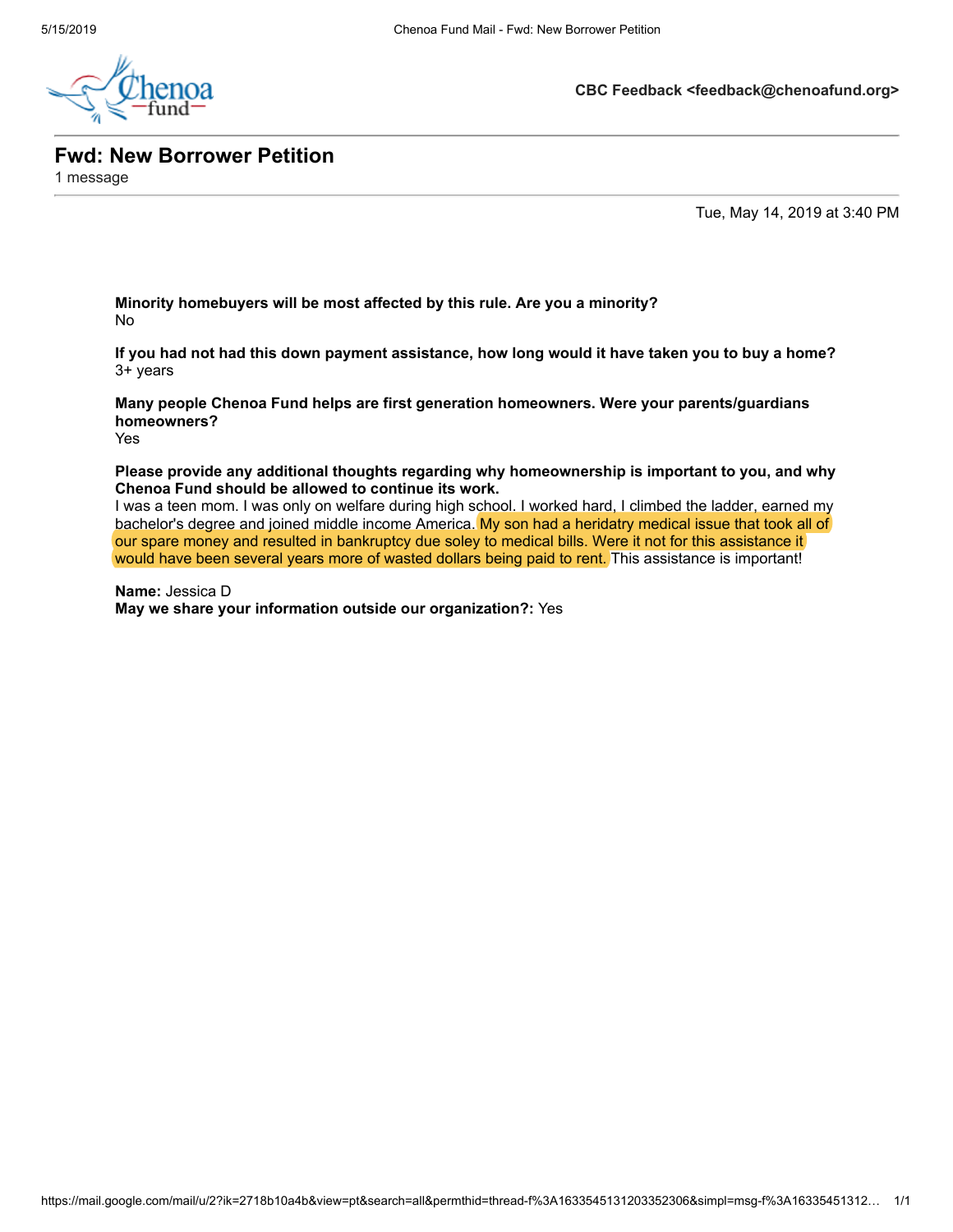

**CBC Feedback <feedback@chenoafund.org>**

**Fwd: New Borrower Petition**

1 message

Tue, May 14, 2019 at 3:40 PM

**Minority homebuyers will be most affected by this rule. Are you a minority?** No

**If you had not had this down payment assistance, how long would it have taken you to buy a home?** 3+ years

**Many people Chenoa Fund helps are first generation homeowners. Were your parents/guardians homeowners?** Yes

**Please provide any additional thoughts regarding why homeownership is important to you, and why Chenoa Fund should be allowed to continue its work.**

I was a teen mom. I was only on welfare during high school. I worked hard, I climbed the ladder, earned my bachelor's degree and joined middle income America. My son had a heridatry medical issue that took all of our spare money and resulted in bankruptcy due soley to medical bills. Were it not for this assistance it would have been several years more of wasted dollars being paid to rent. This assistance is important!

**Name:** Jessica D **May we share your information outside our organization?:** Yes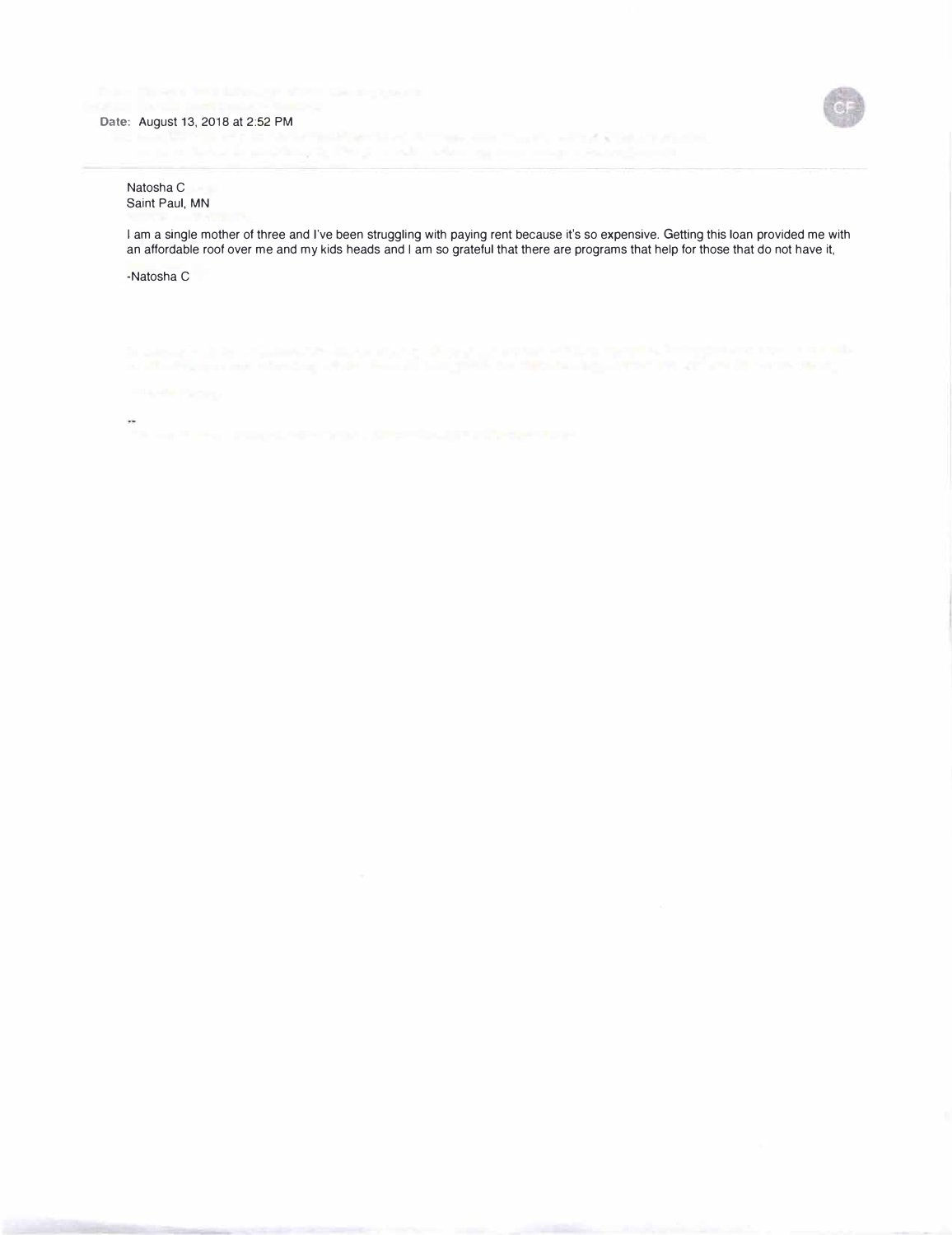

## Natosha C Saint Paul, MN

I am a single mother of three and I've been struggling with paying rent because it's so expensive. Getting this loan provided me with an affordable roof over me and my kids heads and I am so grateful that there are programs that help for those that do not have it,

control with the second control of

-Natosha C